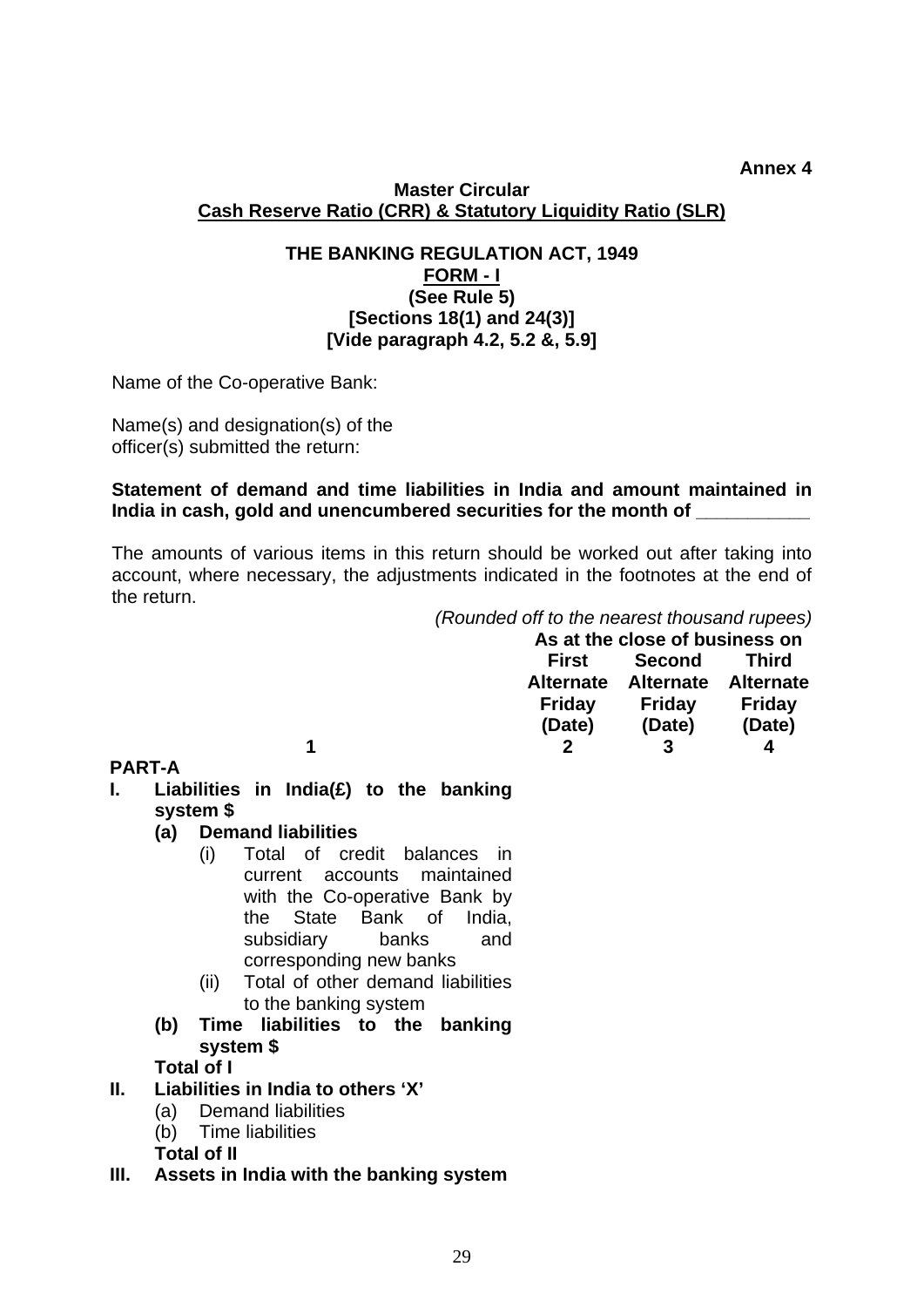#### **Annex 4**

#### **Master Circular Cash Reserve Ratio (CRR) & Statutory Liquidity Ratio (SLR)**

### **THE BANKING REGULATION ACT, 1949 FORM - I (See Rule 5) [Sections 18(1) and 24(3)] [Vide paragraph 4.2, 5.2 &, 5.9]**

Name of the Co-operative Bank:

Name(s) and designation(s) of the officer(s) submitted the return:

### **Statement of demand and time liabilities in India and amount maintained in**  India in cash, gold and unencumbered securities for the month of

The amounts of various items in this return should be worked out after taking into account, where necessary, the adjustments indicated in the footnotes at the end of the return.

*(Rounded off to the nearest thousand rupees)* 

|   |                  | As at the close of business on |        |  |  |
|---|------------------|--------------------------------|--------|--|--|
|   | First            | Second                         | Third  |  |  |
|   | <b>Alternate</b> | Alternate Alternate            |        |  |  |
|   | Friday           | Friday                         | Friday |  |  |
|   | (Date)           | (Date)                         | (Date) |  |  |
| 1 |                  |                                |        |  |  |

#### **PART-A**

- **I. Liabilities in India(£) to the banking system \$** 
	- **(a) Demand liabilities** 
		- (i) Total of credit balances in current accounts maintained with the Co-operative Bank by the State Bank of India, subsidiary banks and corresponding new banks
		- (ii) Total of other demand liabilities to the banking system
	- **(b) Time liabilities to the banking system \$**

### **Total of I**

### **II. Liabilities in India to others 'X'**

- (a) Demand liabilities
- (b) Time liabilities
- **Total of II**
- **III. Assets in India with the banking system**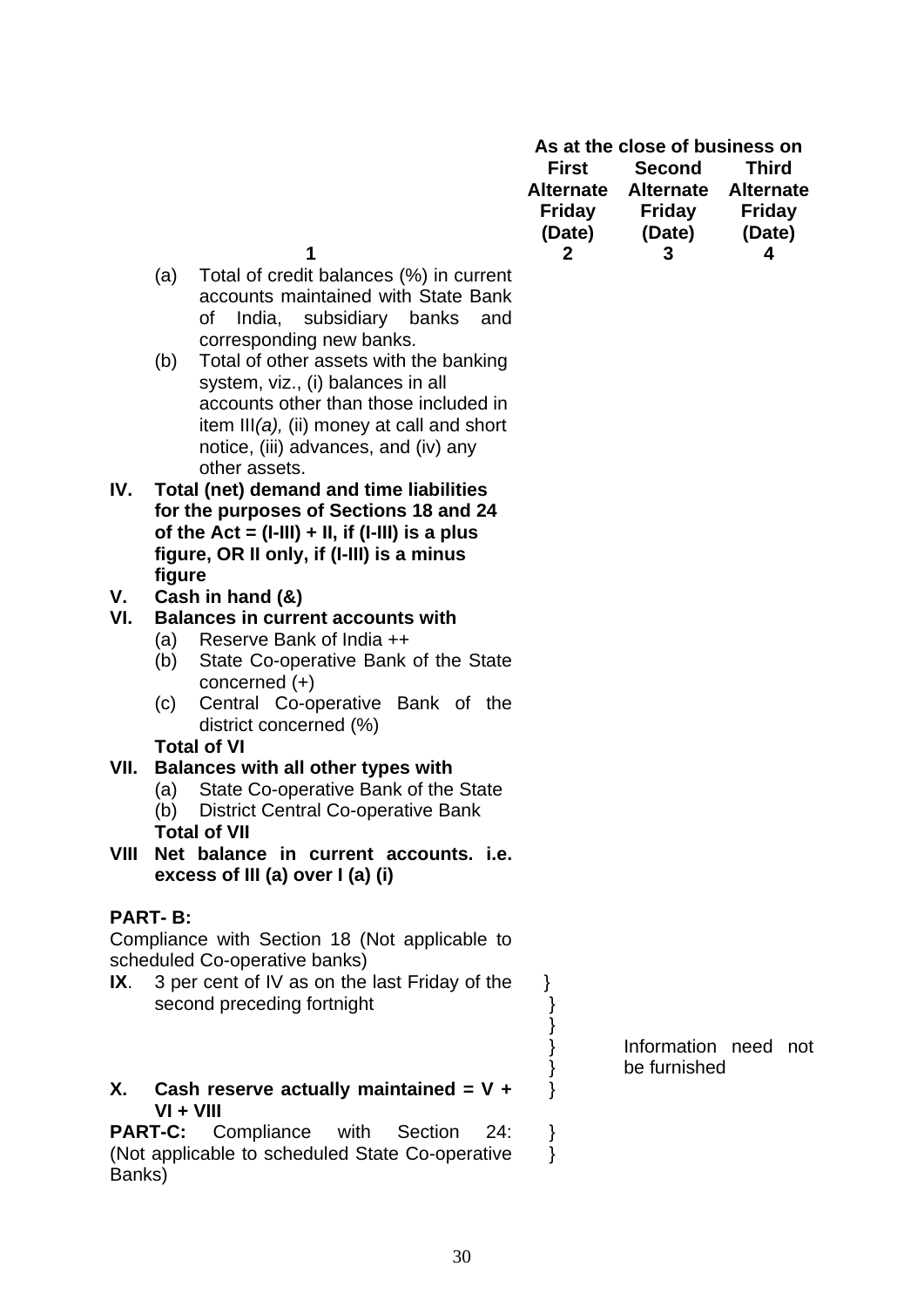| As at the close of business on |                     |               |  |
|--------------------------------|---------------------|---------------|--|
| First                          | Second              | Third         |  |
| <b>Alternate</b>               | Alternate Alternate |               |  |
| <b>Friday</b>                  | Friday              | <b>Friday</b> |  |
| (Date)                         | (Date)              | (Date)        |  |
|                                | 3                   |               |  |
|                                |                     |               |  |

- 
- (a) Total of credit balances (%) in current accounts maintained with State Bank of India, subsidiary banks and corresponding new banks.
- (b) Total of other assets with the banking system, viz., (i) balances in all accounts other than those included in item III*(a),* (ii) money at call and short notice, (iii) advances, and (iv) any other assets.
- **IV. Total (net) demand and time liabilities for the purposes of Sections 18 and 24 of the Act = (I-III) + II, if (I-III) is a plus figure, OR II only, if (I-III) is a minus figure**
- **V. Cash in hand (&)**

## **VI. Balances in current accounts with**

- (a) Reserve Bank of India ++
- (b) State Co-operative Bank of the State concerned (+)
- (c) Central Co-operative Bank of the district concerned (%)

#### **Total of VI**

## **VII. Balances with all other types with**

- (a) State Co-operative Bank of the State
- (b) District Central Co-operative Bank **Total of VII**
- **VIII Net balance in current accounts. i.e. excess of III (a) over I (a) (i)**

# **PART- B:**

Compliance with Section 18 (Not applicable to scheduled Co-operative banks)

**IX**. 3 per cent of IV as on the last Friday of the second preceding fortnight

### **X. Cash reserve actually maintained = V + VI + VIII**

**PART-C:** Compliance with Section 24: (Not applicable to scheduled State Co-operative Banks)

Information need not be furnished

 } } } } }

}

 } }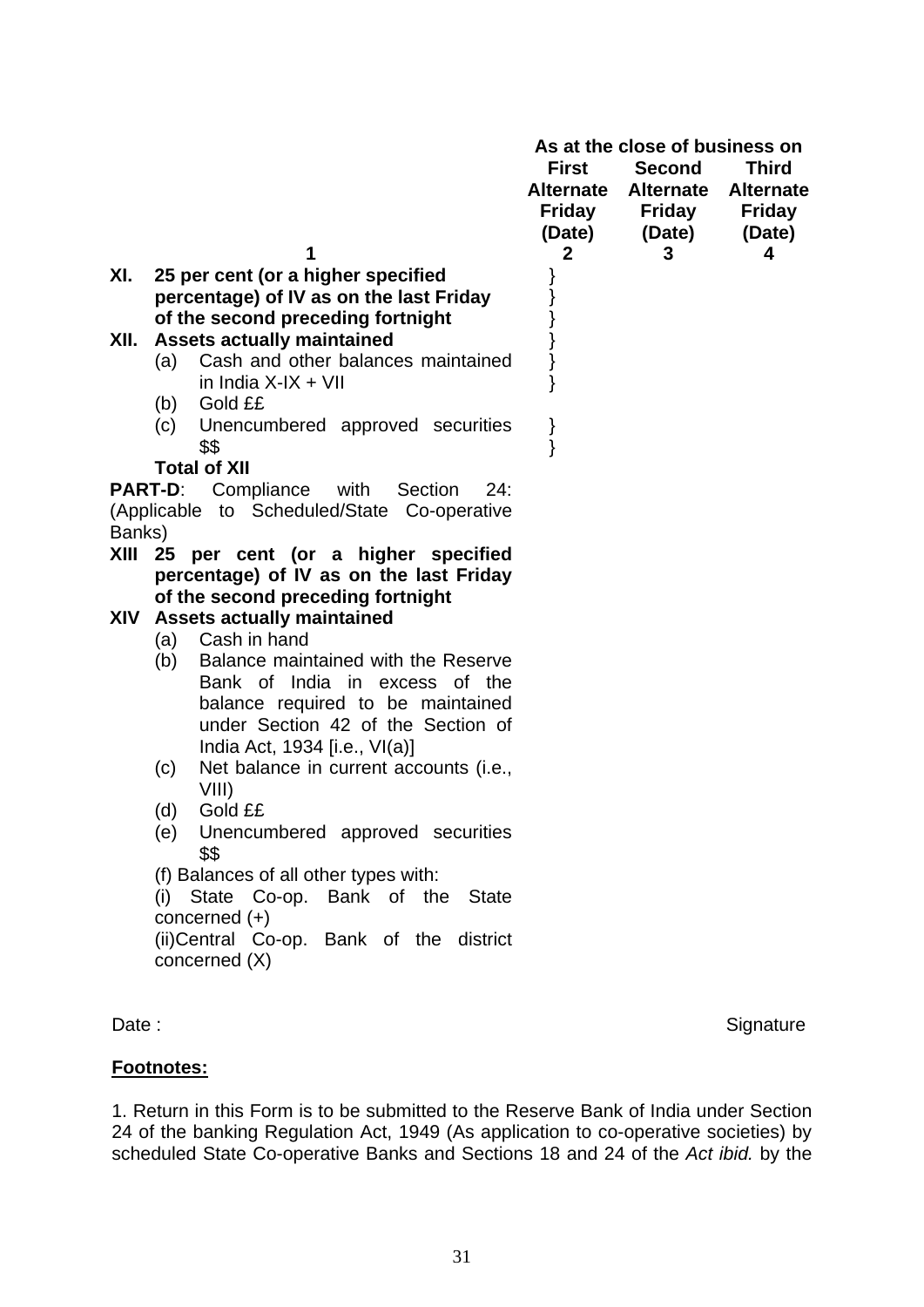|                |                                                                         | <b>First</b><br><b>Alternate</b><br>Friday<br>(Date)<br>$\mathbf{2}$ | As at the close of business on<br><b>Second</b><br><b>Alternate</b><br><b>Friday</b><br>(Date)<br>3 | <b>Third</b><br><b>Alternate</b><br><b>Friday</b><br>(Date)<br>4 |
|----------------|-------------------------------------------------------------------------|----------------------------------------------------------------------|-----------------------------------------------------------------------------------------------------|------------------------------------------------------------------|
| XI.            | 25 per cent (or a higher specified                                      |                                                                      |                                                                                                     |                                                                  |
|                | percentage) of IV as on the last Friday                                 |                                                                      |                                                                                                     |                                                                  |
|                | of the second preceding fortnight                                       |                                                                      |                                                                                                     |                                                                  |
| XII.           | <b>Assets actually maintained</b>                                       |                                                                      |                                                                                                     |                                                                  |
|                | Cash and other balances maintained<br>(a)<br>in India $X$ -IX + VII     | }                                                                    |                                                                                                     |                                                                  |
|                | Gold ££<br>(b)                                                          |                                                                      |                                                                                                     |                                                                  |
|                | Unencumbered approved securities<br>(c)                                 | }                                                                    |                                                                                                     |                                                                  |
|                | \$\$                                                                    | }                                                                    |                                                                                                     |                                                                  |
|                | <b>Total of XII</b>                                                     |                                                                      |                                                                                                     |                                                                  |
| <b>PART-D:</b> | Compliance<br>with<br>Section<br>24:                                    |                                                                      |                                                                                                     |                                                                  |
|                | (Applicable to Scheduled/State Co-operative                             |                                                                      |                                                                                                     |                                                                  |
| Banks)<br>XIII | 25 per cent (or a higher specified                                      |                                                                      |                                                                                                     |                                                                  |
|                | percentage) of IV as on the last Friday                                 |                                                                      |                                                                                                     |                                                                  |
|                | of the second preceding fortnight                                       |                                                                      |                                                                                                     |                                                                  |
| XIV            | <b>Assets actually maintained</b>                                       |                                                                      |                                                                                                     |                                                                  |
|                | Cash in hand<br>(a)                                                     |                                                                      |                                                                                                     |                                                                  |
|                | Balance maintained with the Reserve<br>(b)                              |                                                                      |                                                                                                     |                                                                  |
|                | Bank of India in excess of the                                          |                                                                      |                                                                                                     |                                                                  |
|                | balance required to be maintained<br>under Section 42 of the Section of |                                                                      |                                                                                                     |                                                                  |
|                | India Act, 1934 [i.e., VI(a)]                                           |                                                                      |                                                                                                     |                                                                  |
|                | Net balance in current accounts (i.e.,<br>(c)                           |                                                                      |                                                                                                     |                                                                  |
|                | VIII)                                                                   |                                                                      |                                                                                                     |                                                                  |
|                | (d)<br>Gold ££                                                          |                                                                      |                                                                                                     |                                                                  |
|                | Unencumbered approved securities<br>(e)<br>\$\$                         |                                                                      |                                                                                                     |                                                                  |
|                | (f) Balances of all other types with:                                   |                                                                      |                                                                                                     |                                                                  |
|                | State Co-op. Bank of the<br>(i)<br><b>State</b>                         |                                                                      |                                                                                                     |                                                                  |
|                | concerned $(+)$                                                         |                                                                      |                                                                                                     |                                                                  |
|                | (ii) Central Co-op. Bank of the district                                |                                                                      |                                                                                                     |                                                                  |
|                | concerned (X)                                                           |                                                                      |                                                                                                     |                                                                  |

Date : Signature : Signature : Signature : Signature : Signature : Signature : Signature : Signature : Signature : Signature : Signature : Signature : Signature : Signature : Signature : Signature : Signature : Signature :

## **Footnotes:**

1. Return in this Form is to be submitted to the Reserve Bank of India under Section 24 of the banking Regulation Act, 1949 (As application to co-operative societies) by scheduled State Co-operative Banks and Sections 18 and 24 of the *Act ibid.* by the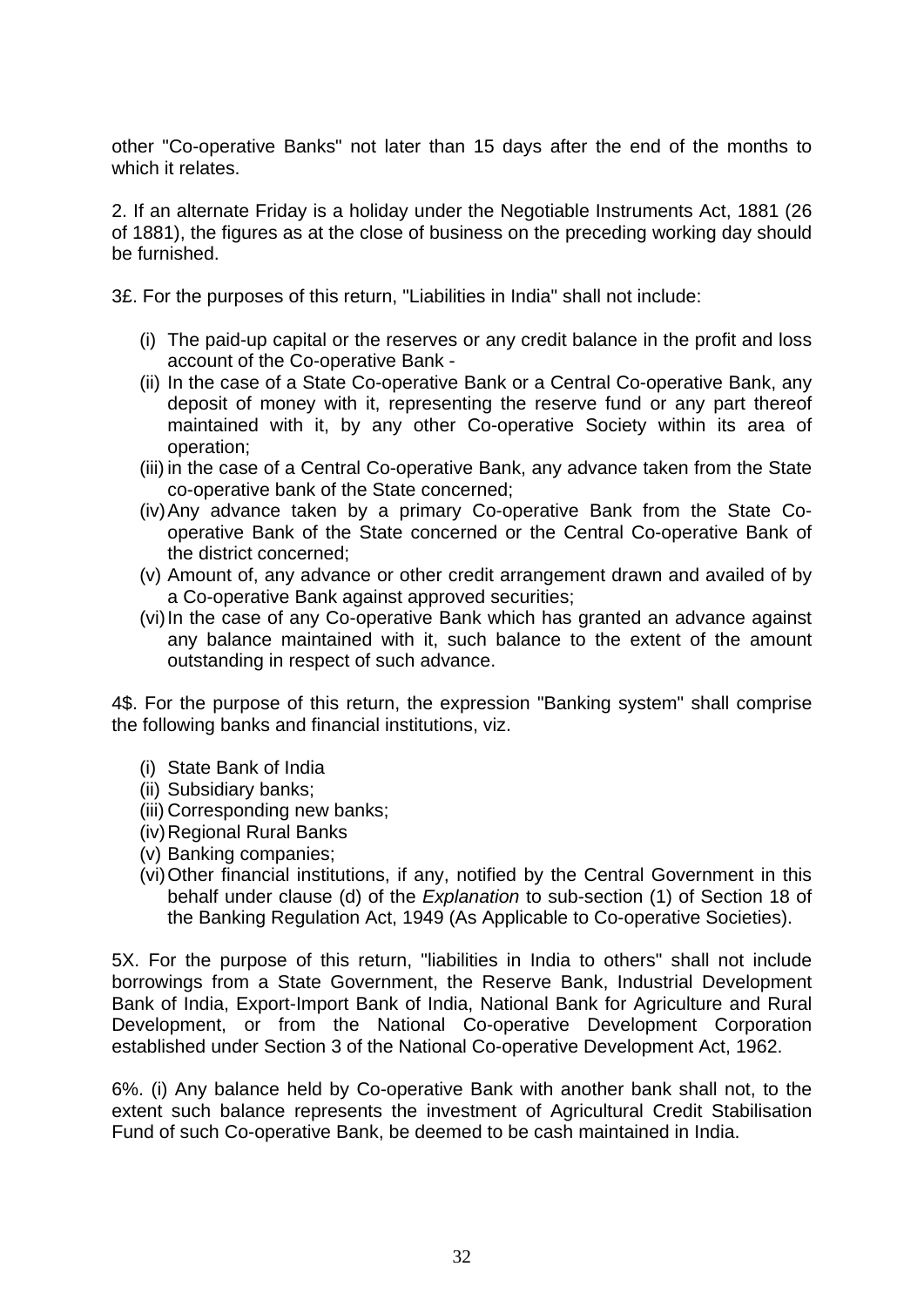other "Co-operative Banks" not later than 15 days after the end of the months to which it relates.

2. If an alternate Friday is a holiday under the Negotiable Instruments Act, 1881 (26 of 1881), the figures as at the close of business on the preceding working day should be furnished.

3£. For the purposes of this return, "Liabilities in India" shall not include:

- (i) The paid-up capital or the reserves or any credit balance in the profit and loss account of the Co-operative Bank -
- (ii) In the case of a State Co-operative Bank or a Central Co-operative Bank, any deposit of money with it, representing the reserve fund or any part thereof maintained with it, by any other Co-operative Society within its area of operation;
- (iii) in the case of a Central Co-operative Bank, any advance taken from the State co-operative bank of the State concerned;
- (iv) Any advance taken by a primary Co-operative Bank from the State Cooperative Bank of the State concerned or the Central Co-operative Bank of the district concerned;
- (v) Amount of, any advance or other credit arrangement drawn and availed of by a Co-operative Bank against approved securities;
- (vi) In the case of any Co-operative Bank which has granted an advance against any balance maintained with it, such balance to the extent of the amount outstanding in respect of such advance.

4\$. For the purpose of this return, the expression "Banking system" shall comprise the following banks and financial institutions, viz.

- (i) State Bank of India
- (ii) Subsidiary banks;
- (iii) Corresponding new banks;
- (iv) Regional Rural Banks
- (v) Banking companies;
- (vi) Other financial institutions, if any, notified by the Central Government in this behalf under clause (d) of the *Explanation* to sub-section (1) of Section 18 of the Banking Regulation Act, 1949 (As Applicable to Co-operative Societies).

5X. For the purpose of this return, "liabilities in India to others" shall not include borrowings from a State Government, the Reserve Bank, Industrial Development Bank of India, Export-Import Bank of India, National Bank for Agriculture and Rural Development, or from the National Co-operative Development Corporation established under Section 3 of the National Co-operative Development Act, 1962.

6%. (i) Any balance held by Co-operative Bank with another bank shall not, to the extent such balance represents the investment of Agricultural Credit Stabilisation Fund of such Co-operative Bank, be deemed to be cash maintained in India.